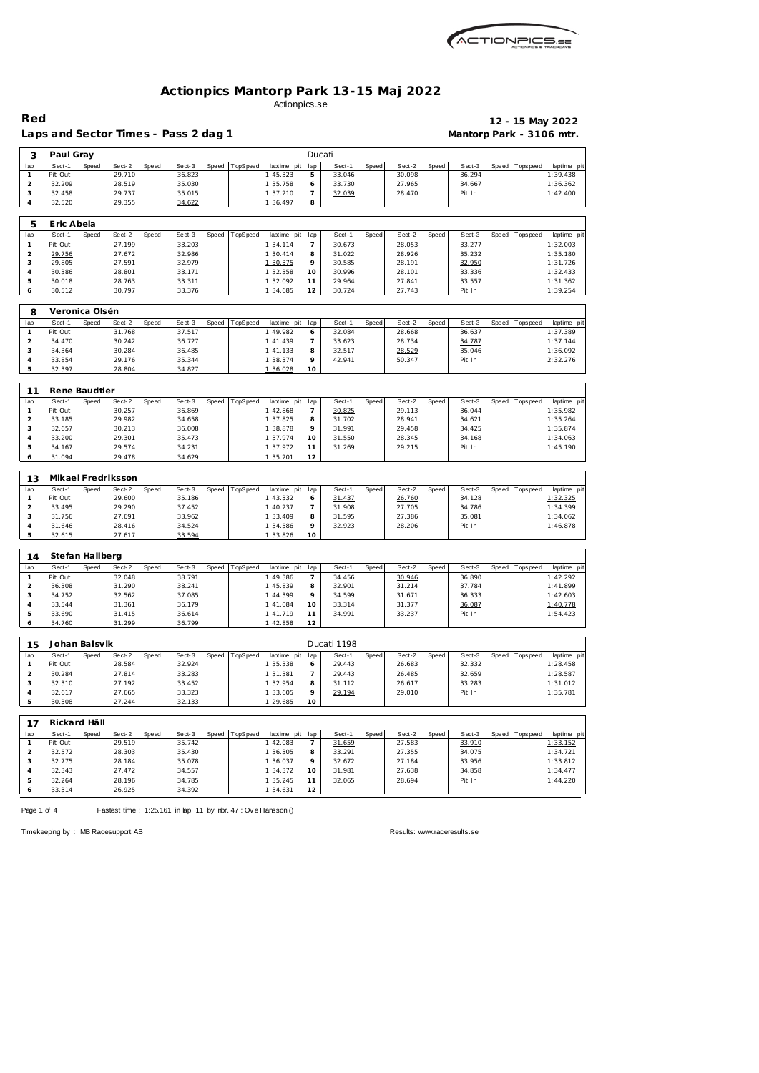| <i><b>ACTIONPICS.SE</b></i> |
|-----------------------------|
|                             |

Laps and Sector Times - Pass 2 dag 1 **Mantorp Park - 3106 mtr.** 

**Red 12 - 15 May 2022**

| 3                   | Paul Gray         |       |                    |       |                  |       |          |                         | Ducati              |                  |       |                  |       |                  |       |                   |                         |
|---------------------|-------------------|-------|--------------------|-------|------------------|-------|----------|-------------------------|---------------------|------------------|-------|------------------|-------|------------------|-------|-------------------|-------------------------|
| lap                 | Sect-1            | Speed | Sect-2             | Speed | Sect-3           | Speed | TopSpeed | laptime pit             | lap                 | Sect-1           | Speed | Sect-2           | Speed | Sect-3           | Speed | <b>Tops peed</b>  | laptime pit             |
| $\mathbf{1}$        | Pit Out           |       | 29.710             |       | 36.823           |       |          | 1:45.323                | 5                   | 33.046           |       | 30.098           |       | 36.294           |       |                   | 1:39.438                |
| $\overline{c}$      | 32.209            |       | 28.519             |       | 35.030           |       |          | 1:35.758                | 6                   | 33.730           |       | 27.965           |       | 34.667           |       |                   | 1:36.362                |
| $\sqrt{3}$          | 32.458            |       | 29.737             |       | 35.015           |       |          | 1:37.210                | $\overline{7}$      | 32.039           |       | 28.470           |       | Pit In           |       |                   | 1:42.400                |
| $\overline{4}$      | 32.520            |       | 29.355             |       | 34.622           |       |          | 1:36.497                | 8                   |                  |       |                  |       |                  |       |                   |                         |
|                     |                   |       |                    |       |                  |       |          |                         |                     |                  |       |                  |       |                  |       |                   |                         |
| 5                   | Eric Abela        |       |                    |       |                  |       |          |                         |                     |                  |       |                  |       |                  |       |                   |                         |
| lap                 | Sect-1            | Speed | Sect-2             | Speed | Sect-3           | Speed | TopSpeed | laptime pit             | lap                 | Sect-1           | Speed | Sect-2           | Speed | Sect-3           | Speed | T ops pee d       | laptime pit             |
| $\mathbf{1}$        | Pit Out           |       | 27.199             |       | 33.203           |       |          | 1:34.114                | $\overline{7}$      | 30.673           |       | 28.053           |       | 33.277           |       |                   | 1:32.003                |
| $\mathbf 2$         | 29.756            |       | 27.672             |       | 32.986           |       |          | 1:30.414                | 8                   | 31.022           |       | 28.926           |       | 35.232           |       |                   | 1:35.180                |
| 3                   | 29.805            |       | 27.591             |       | 32.979           |       |          | 1:30.375                | 9                   | 30.585           |       | 28.191           |       | 32.950           |       |                   | 1:31.726                |
| $\overline{4}$      | 30.386            |       | 28.801             |       | 33.171           |       |          | 1:32.358                | 10                  | 30.996           |       | 28.101           |       | 33.336           |       |                   | 1:32.433                |
| 5                   | 30.018            |       | 28.763             |       | 33.311           |       |          | 1:32.092                | 11                  | 29.964           |       | 27.841           |       | 33.557           |       |                   | 1:31.362                |
| 6                   | 30.512            |       | 30.797             |       | 33.376           |       |          | 1:34.685                | 12                  | 30.724           |       | 27.743           |       | Pit In           |       |                   | 1:39.254                |
|                     |                   |       |                    |       |                  |       |          |                         |                     |                  |       |                  |       |                  |       |                   |                         |
| 8                   | Veronica Olsén    |       |                    |       |                  |       |          |                         |                     |                  |       |                  |       |                  |       |                   |                         |
| lap                 | Sect-1            | Speed | Sect-2             | Speed | Sect-3           | Speed | TopSpeed | laptime pit             | lap                 | Sect-1           | Speed | Sect-2           | Speed | Sect-3           |       | Speed Tops peed   | laptime pit             |
| $\mathbf{1}$        | Pit Out           |       | 31.768             |       | 37.517           |       |          | 1:49.982                | 6                   | 32.084           |       | 28.668           |       | 36.637           |       |                   | 1:37.389                |
| $\overline{c}$      | 34.470            |       | 30.242             |       | 36.727           |       |          | 1:41.439                | 7                   | 33.623           |       | 28.734           |       | 34.787           |       |                   | 1:37.144                |
| 3                   | 34.364            |       | 30.284             |       | 36.485           |       |          | 1:41.133                | 8                   | 32.517           |       | 28.529           |       | 35.046           |       |                   | 1:36.092                |
| $\sqrt{4}$          | 33.854            |       | 29.176             |       | 35.344           |       |          | 1:38.374                | 9                   | 42.941           |       | 50.347           |       | Pit In           |       |                   | 2:32.276                |
| 5                   | 32.397            |       | 28.804             |       | 34.827           |       |          | 1:36.028                | 10                  |                  |       |                  |       |                  |       |                   |                         |
|                     |                   |       |                    |       |                  |       |          |                         |                     |                  |       |                  |       |                  |       |                   |                         |
| 11                  | Rene Baudtler     |       |                    |       |                  |       |          |                         |                     |                  |       |                  |       |                  |       |                   |                         |
| lap                 | Sect-1            | Speed | Sect-2             | Speed | Sect-3           | Speed | TopSpeed | laptime pit             | lap                 | Sect-1           | Speed | $Sect-2$         | Speed | Sect-3           | Speed | Tops peed         | laptime pit             |
| $\mathbf{1}$        | Pit Out           |       | 30.257             |       | 36.869           |       |          | 1:42.868                | 7                   | 30.825           |       | 29.113           |       | 36.044           |       |                   | 1:35.982                |
| $\overline{c}$      | 33.185            |       | 29.982             |       | 34.658           |       |          | 1:37.825                | 8                   | 31.702           |       | 28.941           |       | 34.621           |       |                   | 1:35.264                |
| 3                   | 32.657            |       | 30.213             |       | 36.008           |       |          | 1:38.878                | 9                   | 31.991           |       | 29.458           |       | 34.425           |       |                   | 1:35.874                |
| $\overline{4}$      | 33.200            |       | 29.301             |       | 35.473           |       |          | 1:37.974                | 10                  | 31.550           |       | 28.345           |       | 34.168           |       |                   | 1:34.063                |
| 5                   | 34.167            |       | 29.574             |       | 34.231           |       |          | 1:37.972                | 11                  | 31.269           |       | 29.215           |       | Pit In           |       |                   | 1:45.190                |
| 6                   | 31.094            |       | 29.478             |       | 34.629           |       |          | 1:35.201                | 12                  |                  |       |                  |       |                  |       |                   |                         |
|                     |                   |       |                    |       |                  |       |          |                         |                     |                  |       |                  |       |                  |       |                   |                         |
| 13                  |                   |       | Mikael Fredriksson |       |                  |       |          |                         |                     |                  |       |                  |       |                  |       |                   |                         |
| lap                 | Sect-1            | Speed | Sect-2             | Speed | Sect-3           | Speed | TopSpeed | laptime pit             | lap                 | Sect-1           | Speed | Sect-2           | Speed | Sect-3           | Speed | Tops pee d        | laptime pit             |
| $\mathbf{1}$        | Pit Out           |       | 29.600             |       | 35.186           |       |          | 1:43.332                | 6                   | 31.437           |       | 26.760           |       | 34.128           |       |                   | 1:32.325                |
| $\overline{c}$      | 33.495            |       | 29.290             |       | 37.452           |       |          | 1:40.237                | $\overline{7}$      | 31.908           |       | 27.705           |       | 34.786           |       |                   | 1:34.399                |
| 3                   | 31.756            |       | 27.691             |       | 33.962           |       |          | 1:33.409                | 8                   | 31.595           |       | 27.386           |       | 35.081           |       |                   | 1:34.062                |
| $\sqrt{4}$<br>5     | 31.646<br>32.615  |       | 28.416<br>27.617   |       | 34.524<br>33.594 |       |          | 1:34.586<br>1:33.826    | 9<br>10             | 32.923           |       | 28.206           |       | Pit In           |       |                   | 1:46.878                |
|                     |                   |       |                    |       |                  |       |          |                         |                     |                  |       |                  |       |                  |       |                   |                         |
|                     |                   |       |                    |       |                  |       |          |                         |                     |                  |       |                  |       |                  |       |                   |                         |
| 14                  | Stefan Hallberg   |       |                    |       |                  |       |          |                         |                     |                  |       |                  |       |                  |       |                   |                         |
| lap                 | Sect-1            | Speed | Sect-2             | Speed | Sect-3           | Speed | TopSpeed | laptime pit             | lap                 | Sect-1           | Speed | Sect-2           | Speed | Sect-3           |       | Speed   Tops peed | laptime pit             |
| $\mathbf{1}$        | Pit Out           |       | 32.048             |       | 38.791           |       |          | 1:49.386                | $\overline{7}$      | 34.456           |       | 30.946           |       | 36.890           |       |                   | 1:42.292                |
| $\overline{c}$<br>3 | 36.308<br>34.752  |       | 31.290<br>32.562   |       | 38.241<br>37.085 |       |          | 1:45.839<br>1:44.399    | 8<br>9              | 32.901<br>34.599 |       | 31.214<br>31.671 |       | 37.784<br>36.333 |       |                   | 1:41.899<br>1:42.603    |
| $\overline{4}$      | 33.544            |       | 31.361             |       | 36.179           |       |          | 1:41.084                | 10                  | 33.314           |       | 31.377           |       | 36.087           |       |                   | 1:40.778                |
| 5                   | 33.690            |       | 31.415             |       | 36.614           |       |          | 1:41.719                | 11                  | 34.991           |       | 33.237           |       | Pit In           |       |                   | 1:54.423                |
| 6                   | 34.760            |       | 31.299             |       | 36.799           |       |          | 1:42.858                | 12                  |                  |       |                  |       |                  |       |                   |                         |
|                     |                   |       |                    |       |                  |       |          |                         |                     |                  |       |                  |       |                  |       |                   |                         |
| 15                  | Johan Balsvik     |       |                    |       |                  |       |          |                         |                     | Ducati 1198      |       |                  |       |                  |       |                   |                         |
|                     |                   |       |                    |       |                  |       |          |                         |                     |                  |       |                  |       |                  |       |                   |                         |
| lap<br>$\mathbf{1}$ | Sect-1<br>Pit Out | Speed | Sect-2<br>28.584   | Speed | Sect-3<br>32.924 | Speed | TopSpeed | laptime pit<br>1:35.338 | lap                 | Sect-1<br>29.443 | Speed | Sect-2<br>26.683 | Speed | Sect-3<br>32.332 | Speed | Tops peed         | laptime pit<br>1:28.458 |
|                     |                   |       |                    |       |                  |       |          |                         | 6                   |                  |       |                  |       |                  |       |                   |                         |
| $\overline{a}$<br>3 |                   |       | 27.814             |       | 33.283           |       |          | 1:31.381                | $\overline{7}$<br>8 | 29.443<br>31.112 |       | 26.485<br>26.617 |       | 32.659<br>33.283 |       |                   | 1:28.587<br>1:31.012    |
|                     | 30.284            |       |                    |       |                  |       |          |                         |                     |                  |       |                  |       |                  |       |                   |                         |
|                     | 32.310            |       | 27.192             |       | 33.452           |       |          | 1:32.954                |                     |                  |       |                  |       |                  |       |                   |                         |
| $\sqrt{4}$          | 32.617            |       | 27.665             |       | 33.323           |       |          | 1:33.605                | 9                   | 29.194           |       | 29.010           |       | Pit In           |       |                   | 1:35.781                |
| 5                   | 30.308            |       | 27.244             |       | 32.133           |       |          | 1:29.685                | 10                  |                  |       |                  |       |                  |       |                   |                         |
|                     |                   |       |                    |       |                  |       |          |                         |                     |                  |       |                  |       |                  |       |                   |                         |
| 17                  | Rickard Häll      |       |                    |       |                  |       |          |                         |                     |                  |       |                  |       |                  |       |                   |                         |
| lap                 | Sect-1            | Speed | Sect-2             | Speed | Sect-3           | Speed | TopSpeed | laptime pit             | lap                 | Sect-1           | Speed | Sect-2           | Speed | Sect-3           | Speed | Topspeed          | laptime pit             |
| $\mathbf{1}$        | Pit Out           |       | 29.519             |       | 35.742           |       |          | 1:42.083                | 7                   | 31.659           |       | 27.583           |       | 33.910           |       |                   | 1:33.152                |
| $\overline{2}$      | 32.572            |       | 28.303             |       | 35.430           |       |          | 1:36.305                | 8                   | 33.291           |       | 27.355           |       | 34.075           |       |                   | 1:34.721                |
| 3                   | 32.775            |       | 28.184             |       | 35.078           |       |          | 1:36.037                | 9                   | 32.672           |       | 27.184           |       | 33.956           |       |                   | 1:33.812                |
| $\sqrt{4}$          | 32.343            |       | 27.472             |       | 34.557           |       |          | 1:34.372                | 10                  | 31.981           |       | 27.638           |       | 34.858           |       |                   | 1:34.477                |
| 5<br>6              | 32.264<br>33.314  |       | 28.196<br>26.925   |       | 34.785<br>34.392 |       |          | 1:35.245<br>1:34.631    | 11<br>12            | 32.065           |       | 28.694           |       | Pit In           |       |                   | 1:44.220                |

Page 1 of 4 Fastest time : 1:25.161 in lap 11 by nbr. 47 : Ove Hansson ()

Timekeeping by : MB Racesupport AB Results:<www.raceresults.se>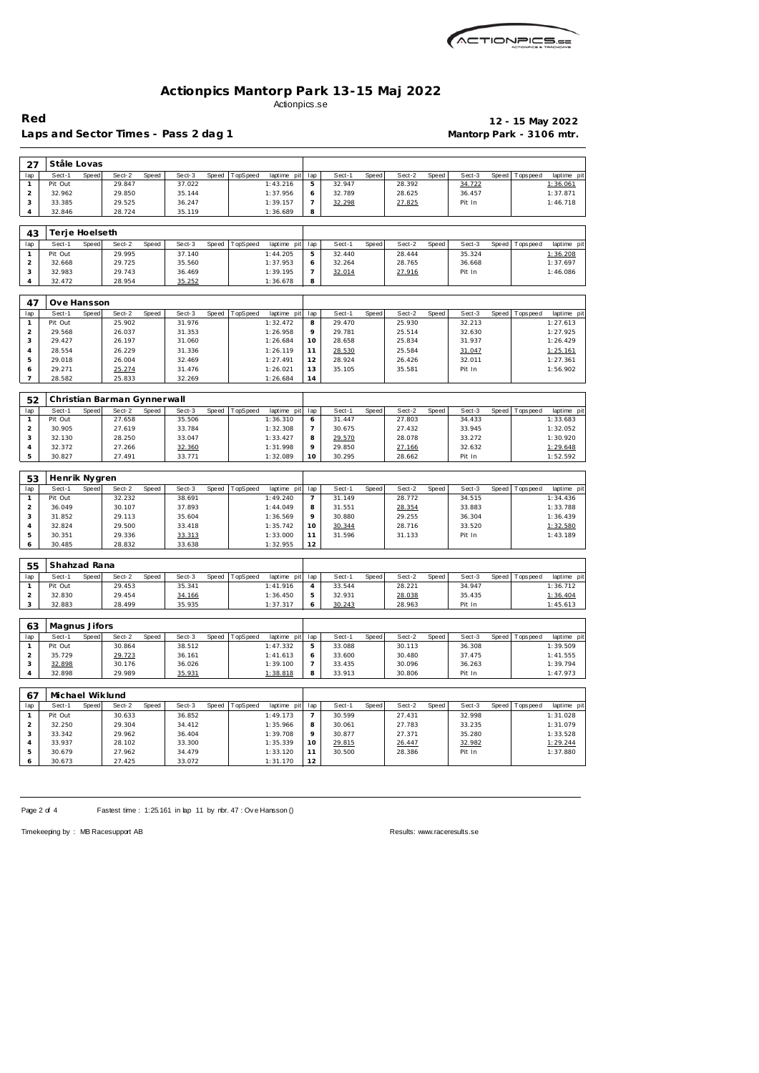

Laps and Sector Times - Pass 2 dag 1 **Mantorp Park - 3106 mtr.** 

**Red 12 - 15 May 2022**

| 27                      | Ståle Lovas               |       |                             |       |                  |       |          |                      |                |        |       |        |       |        |              |                 |             |
|-------------------------|---------------------------|-------|-----------------------------|-------|------------------|-------|----------|----------------------|----------------|--------|-------|--------|-------|--------|--------------|-----------------|-------------|
|                         |                           |       |                             |       |                  |       |          |                      |                |        |       |        |       |        |              |                 |             |
| lap                     | Sect-1                    | Speed | Sect-2                      | Speed | Sect-3           | Speed | TopSpeed | laptime pit          | lap            | Sect-1 | Speed | Sect-2 | Speed | Sect-3 | Speed        | Tops pee d      | laptime pit |
| $\mathbf{1}$            | Pit Out                   |       | 29.847                      |       | 37.022           |       |          | 1:43.216             | 5              | 32.947 |       | 28.392 |       | 34.722 |              |                 | 1:36.061    |
| $\overline{a}$          | 32.962                    |       | 29.850                      |       | 35.144           |       |          | 1:37.956             | 6              | 32.789 |       | 28.625 |       | 36.457 |              |                 | 1:37.871    |
| 3                       | 33.385                    |       | 29.525                      |       | 36.247           |       |          | 1:39.157             | $\overline{7}$ | 32.298 |       | 27.825 |       | Pit In |              |                 | 1:46.718    |
| $\overline{4}$          | 32.846                    |       | 28.724                      |       | 35.119           |       |          | 1:36.689             | 8              |        |       |        |       |        |              |                 |             |
|                         |                           |       |                             |       |                  |       |          |                      |                |        |       |        |       |        |              |                 |             |
| 43                      | Terje Hoelseth            |       |                             |       |                  |       |          |                      |                |        |       |        |       |        |              |                 |             |
| lap                     | Sect-1                    | Speed | Sect-2                      | Speed | Sect-3           | Speed | TopSpeed | laptime pit          | lap            | Sect-1 | Speed | Sect-2 | Speed | Sect-3 | Speed        | T ops pee d     | laptime pit |
|                         |                           |       |                             |       |                  |       |          |                      |                |        |       |        |       |        |              |                 |             |
| $\mathbf{1}$            | Pit Out                   |       | 29.995                      |       | 37.140           |       |          | 1:44.205             | 5              | 32.440 |       | 28.444 |       | 35.324 |              |                 | 1:36.208    |
| $\overline{a}$          | 32.668                    |       | 29.725                      |       | 35.560           |       |          | 1:37.953             | 6              | 32.264 |       | 28.765 |       | 36.668 |              |                 | 1:37.697    |
| 3                       | 32.983                    |       | 29.743                      |       | 36.469           |       |          | 1:39.195             | $\overline{7}$ | 32.014 |       | 27.916 |       | Pit In |              |                 | 1:46.086    |
| $\overline{4}$          | 32.472                    |       | 28.954                      |       | 35.252           |       |          | 1:36.678             | 8              |        |       |        |       |        |              |                 |             |
|                         |                           |       |                             |       |                  |       |          |                      |                |        |       |        |       |        |              |                 |             |
| 47                      | Ove Hansson               |       |                             |       |                  |       |          |                      |                |        |       |        |       |        |              |                 |             |
| lap                     | Sect-1                    | Speed | Sect-2                      | Speed | Sect-3           | Speed | TopSpeed | laptime pit          | lap            | Sect-1 | Speed | Sect-2 | Speed | Sect-3 | Speed        | Tops pee d      | laptime pit |
| $\mathbf{1}$            | Pit Out                   |       | 25.902                      |       | 31.976           |       |          | 1:32.472             | 8              | 29.470 |       | 25.930 |       | 32.213 |              |                 | 1:27.613    |
| $\overline{c}$          | 29.568                    |       | 26.037                      |       | 31.353           |       |          | 1:26.958             | 9              | 29.781 |       | 25.514 |       | 32.630 |              |                 | 1:27.925    |
| 3                       | 29.427                    |       | 26.197                      |       | 31.060           |       |          | 1:26.684             | 10             | 28.658 |       | 25.834 |       | 31.937 |              |                 | 1:26.429    |
|                         |                           |       |                             |       |                  |       |          |                      |                |        |       |        |       |        |              |                 |             |
| $\overline{4}$          | 28.554                    |       | 26.229                      |       | 31.336           |       |          | 1:26.119             | 11             | 28.530 |       | 25.584 |       | 31.047 |              |                 | 1:25.161    |
| 5                       | 29.018                    |       | 26.004                      |       | 32.469           |       |          | 1:27.491             | 12             | 28.924 |       | 26.426 |       | 32.011 |              |                 | 1:27.361    |
| 6                       | 29.271                    |       | 25.274                      |       | 31.476           |       |          | 1:26.021             | 13             | 35.105 |       | 35.581 |       | Pit In |              |                 | 1:56.902    |
| 7                       | 28.582                    |       | 25.833                      |       | 32.269           |       |          | 1:26.684             | 14             |        |       |        |       |        |              |                 |             |
|                         |                           |       |                             |       |                  |       |          |                      |                |        |       |        |       |        |              |                 |             |
| 52                      |                           |       | Christian Barman Gynnerwall |       |                  |       |          |                      |                |        |       |        |       |        |              |                 |             |
| lap                     | Sect-1                    | Speed | Sect-2                      | Speed | Sect-3           | Speed | TopSpeed | laptime pit          | lap            | Sect-1 | Speed | Sect-2 | Speed | Sect-3 | Speed        | Tops peed       | laptime pit |
| $\mathbf{1}$            | Pit Out                   |       | 27.658                      |       | 35.506           |       |          | 1:36.310             | 6              | 31.447 |       | 27.803 |       | 34.433 |              |                 | 1:33.683    |
|                         |                           |       |                             |       |                  |       |          |                      |                |        |       |        |       |        |              |                 |             |
| $\overline{c}$          | 30.905                    |       | 27.619                      |       | 33.784           |       |          | 1:32.308             | 7              | 30.675 |       | 27.432 |       | 33.945 |              |                 | 1:32.052    |
| 3                       | 32.130                    |       | 28.250                      |       | 33.047           |       |          | 1:33.427             | 8              | 29.570 |       | 28.078 |       | 33.272 |              |                 | 1:30.920    |
| $\sqrt{4}$              | 32.372                    |       | 27.266                      |       | 32.360           |       |          | 1:31.998             | 9              | 29.850 |       | 27.166 |       | 32.632 |              |                 | 1:29.648    |
|                         |                           |       |                             |       |                  |       |          |                      |                |        |       |        |       |        |              |                 | 1:52.592    |
| 5                       | 30.827                    |       | 27.491                      |       | 33.771           |       |          | 1:32.089             | 10             | 30.295 |       | 28.662 |       | Pit In |              |                 |             |
|                         |                           |       |                             |       |                  |       |          |                      |                |        |       |        |       |        |              |                 |             |
| 53                      | Henrik Nygren             |       |                             |       |                  |       |          |                      |                |        |       |        |       |        |              |                 |             |
| lap                     | Sect-1                    | Speed | Sect-2                      | Speed | Sect-3           | Speed | TopSpeed | laptime pit          | lap            | Sect-1 | Speed | Sect-2 | Speed | Sect-3 | Speed        | T ops pee d     | laptime pit |
| $\mathbf{1}$            | Pit Out                   |       | 32.232                      |       | 38.691           |       |          | 1:49.240             | $\overline{7}$ | 31.149 |       | 28.772 |       | 34.515 |              |                 | 1:34.436    |
|                         |                           |       |                             |       |                  |       |          |                      |                |        |       |        |       |        |              |                 |             |
| $\overline{a}$          | 36.049                    |       | 30.107                      |       | 37.893           |       |          | 1:44.049             | 8              | 31.551 |       | 28.354 |       | 33.883 |              |                 | 1:33.788    |
| 3                       | 31.852                    |       | 29.113                      |       | 35.604           |       |          | 1:36.569             | 9              | 30.880 |       | 29.255 |       | 36.304 |              |                 | 1:36.439    |
| $\sqrt{4}$              | 32.824                    |       | 29.500                      |       | 33.418           |       |          | 1:35.742             | 10             | 30.344 |       | 28.716 |       | 33.520 |              |                 | 1:32.580    |
| 5                       | 30.351                    |       | 29.336                      |       | 33.313           |       |          | 1:33.000             | 11             | 31.596 |       | 31.133 |       | Pit In |              |                 | 1:43.189    |
| 6                       | 30.485                    |       | 28.832                      |       | 33.638           |       |          | 1:32.955             | 12             |        |       |        |       |        |              |                 |             |
|                         |                           |       |                             |       |                  |       |          |                      |                |        |       |        |       |        |              |                 |             |
| 55                      | Shahzad Rana              |       |                             |       |                  |       |          |                      |                |        |       |        |       |        |              |                 |             |
| lap                     | Sect-1                    | Speed | Sect-2                      | Speed | Sect-3           | Speed | TopSpeed | laptime pit          | lap            | Sect-1 | Speed | Sect-2 | Speed | Sect-3 | Speed        | Tops pee d      | laptime pit |
| $\mathbf{1}$            | Pit Out                   |       | 29.453                      |       | 35.341           |       |          | 1:41.916             | $\overline{4}$ | 33.544 |       | 28.221 |       | 34.947 |              |                 | 1:36.712    |
| $\overline{a}$          | 32.830                    |       | 29.454                      |       | 34.166           |       |          | 1:36.450             | 5              | 32.931 |       | 28.038 |       | 35.435 |              |                 | 1:36.404    |
| 3                       | 32.883                    |       | 28.499                      |       | 35.935           |       |          | 1:37.317             | 6              | 30.243 |       | 28.963 |       | Pit In |              |                 | 1:45.613    |
|                         |                           |       |                             |       |                  |       |          |                      |                |        |       |        |       |        |              |                 |             |
|                         |                           |       |                             |       |                  |       |          |                      |                |        |       |        |       |        |              |                 |             |
| 63                      | Magnus Jifors             |       |                             |       |                  |       |          |                      |                |        |       |        |       |        |              |                 |             |
| lap                     | Sect-1                    | Speed | Sect-2                      | Speed | Sect-3           | Speed | TopSpeed | laptime pit          | lap            | Sect-1 | Speed | Sect-2 | Speed | Sect-3 | <b>Speed</b> | <b>Topspeed</b> | laptime pit |
| $\mathbf{1}$            | Pit Out                   |       | 30.864                      |       | 38.512           |       |          | 1:47.332             | 5              | 33.088 |       | 30.113 |       | 36.308 |              |                 | 1:39.509    |
| $\overline{\mathbf{c}}$ | 35.729                    |       | 29.723                      |       | 36.161           |       |          | 1:41.613             | 6              | 33.600 |       | 30.480 |       | 37.475 |              |                 | 1:41.555    |
| 3                       | 32.898                    |       | 30.176                      |       | 36.026           |       |          | 1:39.100             | $\overline{7}$ | 33.435 |       | 30.096 |       | 36.263 |              |                 | 1:39.794    |
| 4                       | 32.898                    |       | 29.989                      |       | 35.931           |       |          | 1:38.818             | 8              | 33.913 |       | 30.806 |       | Pit In |              |                 | 1:47.973    |
|                         |                           |       |                             |       |                  |       |          |                      |                |        |       |        |       |        |              |                 |             |
| 67                      |                           |       |                             |       |                  |       |          |                      |                |        |       |        |       |        |              |                 |             |
| lap                     | Michael Wiklund<br>Sect-1 | Speed | Sect-2                      | Speed | Sect-3           | Speed | TopSpeed |                      |                | Sect-1 | Speed | Sect-2 | Speed | Sect-3 | <b>Speed</b> | T ops pee d     |             |
|                         |                           |       |                             |       |                  |       |          | laptime pit          | lap            |        |       |        |       |        |              |                 | laptime pit |
| $\mathbf{1}$            | Pit Out                   |       | 30.633                      |       | 36.852           |       |          | 1:49.173             | 7              | 30.599 |       | 27.431 |       | 32.998 |              |                 | 1:31.028    |
| $\overline{c}$          | 32.250                    |       | 29.304                      |       | 34.412           |       |          | 1:35.966             | 8              | 30.061 |       | 27.783 |       | 33.235 |              |                 | 1:31.079    |
| 3                       | 33.342                    |       | 29.962                      |       | 36.404           |       |          | 1:39.708             | 9              | 30.877 |       | 27.371 |       | 35.280 |              |                 | 1:33.528    |
| $\overline{4}$          | 33.937                    |       | 28.102                      |       | 33.300           |       |          | 1:35.339             | 10             | 29.815 |       | 26.447 |       | 32.982 |              |                 | 1:29.244    |
| 5                       | 30.679<br>30.673          |       | 27.962<br>27.425            |       | 34.479<br>33.072 |       |          | 1:33.120<br>1:31.170 | 11<br>12       | 30.500 |       | 28.386 |       | Pit In |              |                 | 1:37.880    |

Page 2 of 4 Fastest time : 1:25.161 in lap 11 by nbr. 47 : Ove Hansson ()

Timekeeping by : MB Racesupport AB Results:<www.raceresults.se>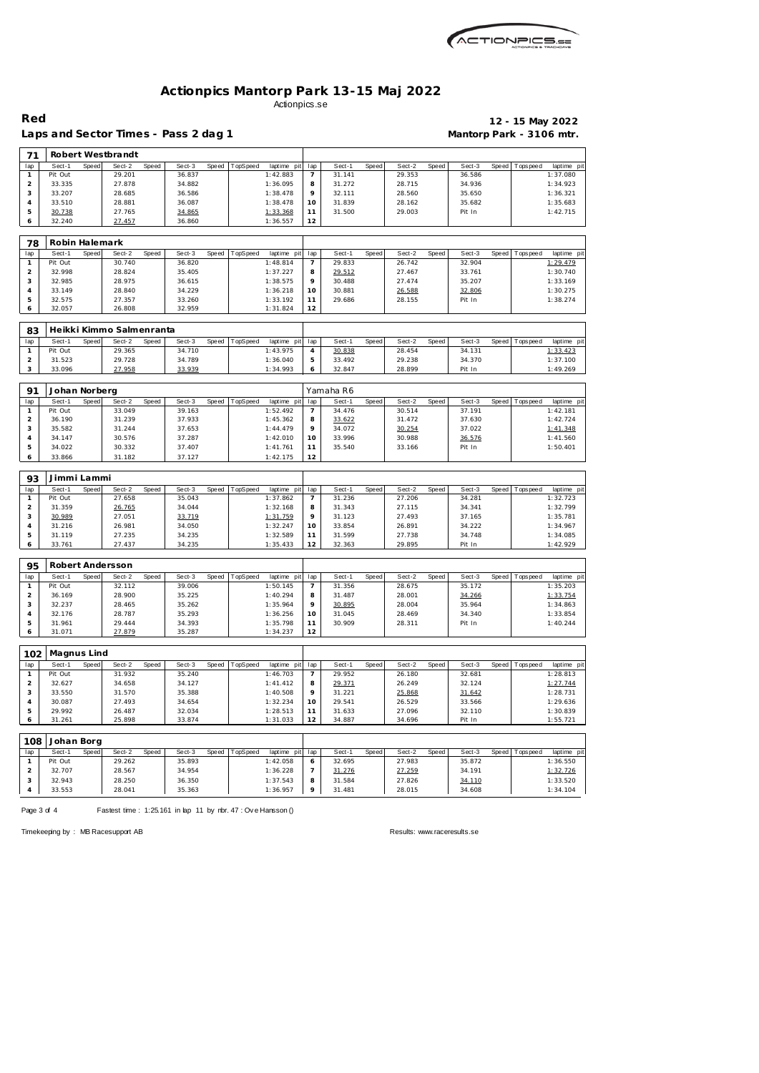

Laps and Sector Times - Pass 2 dag 1 **Mantorp Park - 3106 mtr.** 

# **Red 12 - 15 May 2022**

| 71                      |                   |              | Robert Westbrandt        |       |                  |       |          |                         |                       |                  |       |                  |       |                  |       |                |                        |
|-------------------------|-------------------|--------------|--------------------------|-------|------------------|-------|----------|-------------------------|-----------------------|------------------|-------|------------------|-------|------------------|-------|----------------|------------------------|
| lap                     | Sect-1            | Speed        | Sect-2                   | Speed | Sect-3           | Speed | TopSpeed | laptime pit             | lap                   | Sect-1           | Speed | Sect-2           | Speed | Sect-3           | Speed | Topspeed       | laptime pi             |
| 1                       | Pit Out           |              | 29.201                   |       | 36.837           |       |          | 1:42.883                | $\overline{7}$        | 31.141           |       | 29.353           |       | 36.586           |       |                | 1:37.080               |
| $\mathbf 2$             | 33.335            |              | 27.878                   |       | 34.882           |       |          | 1:36.095                | 8                     | 31.272           |       | 28.715           |       | 34.936           |       |                | 1:34.923               |
| 3                       | 33.207            |              | 28.685                   |       | 36.586           |       |          | 1:38.478                | 9                     | 32.111           |       | 28.560           |       | 35.650           |       |                | 1:36.321               |
| $\overline{4}$          | 33.510            |              | 28.881                   |       | 36.087           |       |          | 1:38.478                | 10                    | 31.839           |       | 28.162           |       | 35.682           |       |                | 1:35.683               |
| 5                       | 30.738            |              | 27.765                   |       | 34.865           |       |          | 1:33.368                | 11                    | 31.500           |       | 29.003           |       | Pit In           |       |                | 1:42.715               |
| 6                       | 32.240            |              | 27.457                   |       | 36.860           |       |          | 1:36.557                | 12                    |                  |       |                  |       |                  |       |                |                        |
|                         |                   |              |                          |       |                  |       |          |                         |                       |                  |       |                  |       |                  |       |                |                        |
| 78                      | Robin Halemark    |              |                          |       |                  |       |          |                         |                       |                  |       |                  |       |                  |       |                |                        |
| lap                     | Sect-1            | Speed        | Sect-2                   | Speed | Sect-3           | Speed | TopSpeed | laptime pit             | lap                   | Sect-1           | Speed | Sect-2           | Speed | Sect-3           | Speed | T ops pee d    | laptime pit            |
| $\mathbf{1}$            | Pit Out           |              | 30.740                   |       | 36.820           |       |          | 1:48.814                | $\overline{7}$        | 29.833           |       | 26.742           |       | 32.904           |       |                | 1:29.479               |
| $\overline{c}$<br>3     | 32.998<br>32.985  |              | 28.824                   |       | 35.405           |       |          | 1:37.227                | 8<br>9                | 29.512           |       | 27.467           |       | 33.761           |       |                | 1:30.740               |
| $\overline{4}$          | 33.149            |              | 28.975<br>28.840         |       | 36.615<br>34.229 |       |          | 1:38.575<br>1:36.218    | 10                    | 30.488<br>30.881 |       | 27.474<br>26.588 |       | 35.207<br>32.806 |       |                | 1:33.169<br>1:30.275   |
| 5                       | 32.575            |              | 27.357                   |       | 33.260           |       |          | 1:33.192                | 11                    | 29.686           |       | 28.155           |       | Pit In           |       |                | 1:38.274               |
| 6                       | 32.057            |              | 26.808                   |       | 32.959           |       |          | 1:31.824                | 12                    |                  |       |                  |       |                  |       |                |                        |
|                         |                   |              |                          |       |                  |       |          |                         |                       |                  |       |                  |       |                  |       |                |                        |
| 83                      |                   |              | Heikki Kimmo Salmenranta |       |                  |       |          |                         |                       |                  |       |                  |       |                  |       |                |                        |
| lap                     | Sect-1            | Speed        | Sect-2                   | Speed | Sect-3           | Speed | TopSpeed | laptime pit             | lap                   | Sect-1           | Speed | Sect-2           | Speed | Sect-3           | Speed | Tops peed      | laptime pi             |
| 1                       | Pit Out           |              | 29.365                   |       | 34.710           |       |          | 1:43.975                | $\overline{4}$        | 30.838           |       | 28.454           |       | 34.131           |       |                | 1:33.423               |
| $\overline{a}$          | 31.523            |              | 29.728                   |       | 34.789           |       |          | 1:36.040                | $\mathbf 5$           | 33.492           |       | 29.238           |       | 34.370           |       |                | 1:37.100               |
| 3                       | 33.096            |              | 27.958                   |       | 33.939           |       |          | 1:34.993                | 6                     | 32.847           |       | 28.899           |       | Pit In           |       |                | 1:49.269               |
| 91                      | Johan Norberg     |              |                          |       |                  |       |          |                         |                       | Yamaha R6        |       |                  |       |                  |       |                |                        |
|                         | Sect-1            | Speed        | Sect-2                   | Speed | Sect-3           | Speed | TopSpeed | laptime pit             |                       | Sect-1           | Speed | Sect-2           | Speed | Sect-3           |       | Speed Topspeed | laptime pi             |
| lap<br>$\mathbf{1}$     | Pit Out           |              | 33.049                   |       | 39.163           |       |          | 1:52.492                | lap<br>$\overline{7}$ | 34.476           |       | 30.514           |       | 37.191           |       |                | 1:42.181               |
| $\overline{c}$          | 36.190            |              | 31.239                   |       | 37.933           |       |          | 1:45.362                | 8                     | 33.622           |       | 31.472           |       | 37.630           |       |                | 1:42.724               |
| 3                       | 35.582            |              | 31.244                   |       | 37.653           |       |          | 1:44.479                | 9                     | 34.072           |       | 30.254           |       | 37.022           |       |                | 1:41.348               |
| $\overline{4}$          | 34.147            |              | 30.576                   |       | 37.287           |       |          | 1:42.010                | 10                    | 33.996           |       | 30.988           |       | 36.576           |       |                | 1:41.560               |
| 5                       | 34.022            |              | 30.332                   |       | 37.407           |       |          | 1:41.761                | 11                    | 35.540           |       | 33.166           |       | Pit In           |       |                | 1:50.401               |
| 6                       | 33.866            |              | 31.182                   |       | 37.127           |       |          | 1:42.175                | 12                    |                  |       |                  |       |                  |       |                |                        |
|                         |                   |              |                          |       |                  |       |          |                         |                       |                  |       |                  |       |                  |       |                |                        |
| 93                      | Jimmi Lammi       |              |                          |       |                  |       |          |                         |                       |                  |       |                  |       |                  |       |                |                        |
| lap<br>$\mathbf{1}$     | Sect-1<br>Pit Out | Speed        | Sect-2<br>27.658         | Speed | Sect-3<br>35.043 | Speed | TopSpeed | laptime pit<br>1:37.862 | lap<br>$\overline{7}$ | Sect-1<br>31.236 | Speed | Sect-2<br>27.206 | Speed | Sect-3<br>34.281 | Speed | Tops peed      | laptime pi<br>1:32.723 |
| $\overline{c}$          | 31.359            |              | 26.765                   |       | 34.044           |       |          | 1:32.168                | 8                     | 31.343           |       | 27.115           |       | 34.341           |       |                | 1:32.799               |
| 3                       | 30.989            |              | 27.051                   |       | 33.719           |       |          | 1:31.759                | 9                     | 31.123           |       | 27.493           |       | 37.165           |       |                | 1:35.781               |
| $\sqrt{4}$              | 31.216            |              | 26.981                   |       | 34.050           |       |          | 1:32.247                | 10                    | 33.854           |       | 26.891           |       | 34.222           |       |                | 1:34.967               |
| 5                       | 31.119            |              | 27.235                   |       | 34.235           |       |          | 1:32.589                | 11                    | 31.599           |       | 27.738           |       | 34.748           |       |                | 1:34.085               |
| 6                       | 33.761            |              | 27.437                   |       | 34.235           |       |          | 1:35.433                | 12                    | 32.363           |       | 29.895           |       | Pit In           |       |                | 1:42.929               |
|                         |                   |              |                          |       |                  |       |          |                         |                       |                  |       |                  |       |                  |       |                |                        |
| 95                      |                   |              | Robert Andersson         |       |                  |       |          |                         |                       |                  |       |                  |       |                  |       |                |                        |
| lap                     | Sect-1            | <b>Speed</b> | Sect-2                   | Speed | Sect-3           | Speed | TopSpeed | laptime pit             | lap                   | Sect-1           | Speed | Sect-2           | Speed | Sect-3           | Speed | Tops pee d     | laptime pi             |
| 1                       | Pit Out           |              | 32.112                   |       | 39.006           |       |          | 1:50.145                | $\overline{7}$        | 31.356           |       | 28.675           |       | 35.172           |       |                | 1:35.203               |
| $\overline{c}$          | 36.169            |              | 28.900                   |       | 35.225           |       |          | 1:40.294                | 8                     | 31.487           |       | 28.001           |       | 34.266           |       |                | 1:33.754               |
| 3                       | 32.237            |              | 28.465                   |       | 35.262           |       |          | 1:35.964                | 9                     | 30.895           |       | 28.004           |       | 35.964           |       |                | 1:34.863               |
| $\overline{4}$<br>5     | 32.176<br>31.961  |              | 28.787<br>29.444         |       | 35.293           |       |          | 1:36.256                | 10                    | 31.045<br>30.909 |       | 28.469<br>28.311 |       | 34.340<br>Pit In |       |                | 1:33.854<br>1:40.244   |
| 6                       | 31.071            |              | 27.879                   |       | 34.393<br>35.287 |       |          | 1:35.798<br>1:34.237    | 11<br>12              |                  |       |                  |       |                  |       |                |                        |
|                         |                   |              |                          |       |                  |       |          |                         |                       |                  |       |                  |       |                  |       |                |                        |
| 102                     | Magnus Lind       |              |                          |       |                  |       |          |                         |                       |                  |       |                  |       |                  |       |                |                        |
| lap                     | Sect-1            | Speed        | Sect-2                   | Speed | Sect-3           | Speed | TopSpeed | laptime pit             | lap                   | Sect-1           | Speed | Sect-2           | Speed | Sect-3           | Speed | Topspeed       | laptime pi             |
| $\mathbf{1}$            | Pit Out           |              | 31.932                   |       | 35.240           |       |          | 1:46.703                | $\overline{7}$        | 29.952           |       | 26.180           |       | 32.681           |       |                | 1:28.813               |
| $\overline{\mathbf{c}}$ | 32.627            |              | 34.658                   |       | 34.127           |       |          | 1:41.412                | 8                     | 29.371           |       | 26.249           |       | 32.124           |       |                | 1:27.744               |
| 3                       | 33.550            |              | 31.570                   |       | 35.388           |       |          | 1:40.508                | 9                     | 31.221           |       | 25.868           |       | 31.642           |       |                | 1:28.731               |
| $\sqrt{4}$              | 30.087            |              | 27.493                   |       | 34.654           |       |          | 1:32.234                | 10                    | 29.541           |       | 26.529           |       | 33.566           |       |                | 1:29.636               |
| 5                       | 29.992            |              | 26.487                   |       | 32.034           |       |          | 1:28.513                | 11                    | 31.633           |       | 27.096           |       | 32.110           |       |                | 1:30.839               |
| 6                       | 31.261            |              | 25.898                   |       | 33.874           |       |          | 1:31.033                | 12                    | 34.887           |       | 34.696           |       | Pit In           |       |                | 1:55.721               |
| 108                     | Johan Borg        |              |                          |       |                  |       |          |                         |                       |                  |       |                  |       |                  |       |                |                        |
| lap                     | Sect-1            | Speed        | Sect-2                   | Speed | Sect-3           | Speed | TopSpeed | laptime pit             | lap                   | Sect-1           | Speed | Sect-2           | Speed | Sect-3           | Speed | Tops peed      | laptime pi             |
| $\mathbf{1}$            | Pit Out           |              | 29.262                   |       | 35.893           |       |          | 1:42.058                | 6                     | 32.695           |       | 27.983           |       | 35.872           |       |                | 1:36.550               |
| $\overline{\mathbf{c}}$ | 32.707            |              | 28.567                   |       | 34.954           |       |          | 1:36.228                | $\overline{7}$        | 31.276           |       | 27.259           |       | 34.191           |       |                | 1:32.726               |
|                         |                   |              |                          |       |                  |       |          |                         |                       |                  |       |                  |       |                  |       |                |                        |
| 3                       | 32.943            |              | 28.250                   |       | 36.350           |       |          | 1:37.543                | 8                     | 31.584           |       | 27.826           |       | 34.110           |       |                | 1:33.520               |

| Pit Out | 29.262 | 35.893 | 1:42.058 | 32.695 | 27.983 | 35.872 |  |
|---------|--------|--------|----------|--------|--------|--------|--|
| 32.707  | 28.567 | 34.954 | 1:36.228 | 31.276 | 27.259 | 34.191 |  |
| 32.943  | 28.250 | 36.350 | 1:37.543 | 31.584 | 27.826 | 34.110 |  |
| 33.553  | 28.041 | 35.363 | 1:36.957 | 31.481 | 28.015 | 34.608 |  |
|         |        |        |          |        |        |        |  |

Page 3 of 4 Fastest time : 1:25.161 in lap 11 by nbr. 47 : Ove Hansson ()

Timekeeping by : MB Racesupport AB Results:<www.raceresults.se>

**1:34.104**